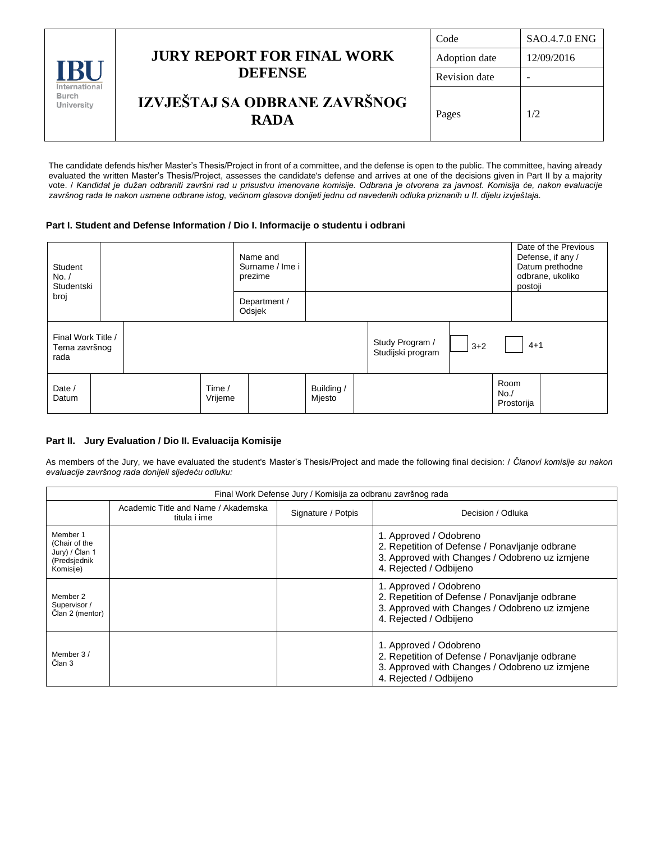| IRI<br>International<br>Burch<br>University |                                                     | Code                 | <b>SAO.4.7.0 ENG</b> |
|---------------------------------------------|-----------------------------------------------------|----------------------|----------------------|
|                                             | <b>JURY REPORT FOR FINAL WORK</b><br><b>DEFENSE</b> | Adoption date        | 12/09/2016           |
|                                             |                                                     | <b>Revision</b> date | -                    |
|                                             | IZVJEŠTAJ SA ODBRANE ZAVRŠNOG<br><b>RADA</b>        | Pages                | 1/2                  |

The candidate defends his/her Master's Thesis/Project in front of a committee, and the defense is open to the public. The committee, having already evaluated the written Master's Thesis/Project, assesses the candidate's defense and arrives at one of the decisions given in Part II by a majority vote. / *Kandidat je dužan odbraniti završni rad u prisustvu imenovane komisije. Odbrana je otvorena za javnost. Komisija će, nakon evaluacije završnog rada te nakon usmene odbrane istog, većinom glasova donijeti jednu od navedenih odluka priznanih u II. dijelu izvještaja.*

## **Part I. Student and Defense Information / Dio I. Informacije o studentu i odbrani**

| Student<br>No. /<br>Studentski              |  |  |                   | Name and<br>Surname / Ime i<br>prezime |                                      |       |         | postoji                   | Date of the Previous<br>Defense, if any /<br>Datum prethodne<br>odbrane, ukoliko |
|---------------------------------------------|--|--|-------------------|----------------------------------------|--------------------------------------|-------|---------|---------------------------|----------------------------------------------------------------------------------|
| broj                                        |  |  |                   | Department /<br>Odsjek                 |                                      |       |         |                           |                                                                                  |
| Final Work Title /<br>Tema završnog<br>rada |  |  |                   |                                        | Study Program /<br>Studijski program | $3+2$ | $4 + 1$ |                           |                                                                                  |
| Date /<br>Datum                             |  |  | Time /<br>Vrijeme |                                        | Building /<br>Mjesto                 |       |         | Room<br>No.<br>Prostorija |                                                                                  |

## **Part II. Jury Evaluation / Dio II. Evaluacija Komisije**

As members of the Jury, we have evaluated the student's Master's Thesis/Project and made the following final decision: / *Članovi komisije su nakon evaluacije završnog rada donijeli sljedeću odluku:*

| Final Work Defense Jury / Komisija za odbranu završnog rada              |                                                                           |  |                                                                                                                                                      |  |  |
|--------------------------------------------------------------------------|---------------------------------------------------------------------------|--|------------------------------------------------------------------------------------------------------------------------------------------------------|--|--|
|                                                                          | Academic Title and Name / Akademska<br>Signature / Potpis<br>titula i ime |  | Decision / Odluka                                                                                                                                    |  |  |
| Member 1<br>(Chair of the<br>Jury) / Član 1<br>(Predsjednik<br>Komisije) |                                                                           |  | 1. Approved / Odobreno<br>2. Repetition of Defense / Ponavljanje odbrane<br>3. Approved with Changes / Odobreno uz izmjene<br>4. Rejected / Odbijeno |  |  |
| Member 2<br>Supervisor /<br>Član 2 (mentor)                              |                                                                           |  | 1. Approved / Odobreno<br>2. Repetition of Defense / Ponavljanje odbrane<br>3. Approved with Changes / Odobreno uz izmiene<br>4. Rejected / Odbijeno |  |  |
| Member 3 /<br>Član 3                                                     |                                                                           |  | 1. Approved / Odobreno<br>2. Repetition of Defense / Ponavljanje odbrane<br>3. Approved with Changes / Odobreno uz izmjene<br>4. Rejected / Odbijeno |  |  |